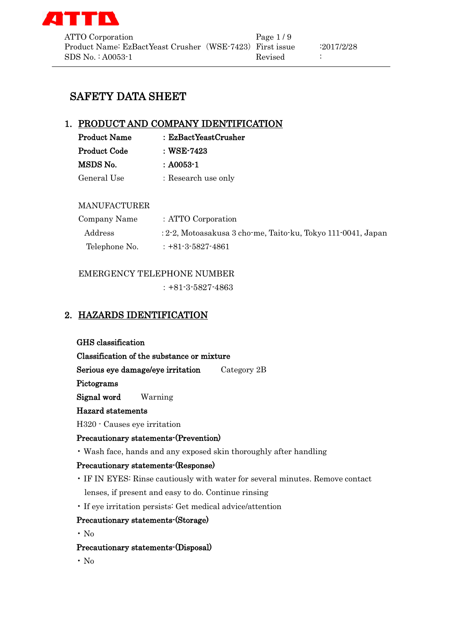

# SAFETY DATA SHEET

# 1. PRODUCT AND COMPANY IDENTIFICATION

| <b>Product Name</b> | : EzBactYeastCrusher |
|---------------------|----------------------|
| <b>Product Code</b> | : WSE-7423           |
| MSDS No.            | $: A0053 - 1$        |
| General Use         | : Research use only  |

### MANUFACTURER

| Company Name  | : ATTO Corporation                                           |
|---------------|--------------------------------------------------------------|
| Address       | : 2-2, Motoasakusa 3 cho-me, Taito-ku, Tokyo 111-0041, Japan |
| Telephone No. | $: +81 - 3 - 5827 - 4861$                                    |

### EMERGENCY TELEPHONE NUMBER

:+81-3-5827-4863

# 2. HAZARDS IDENTIFICATION

GHS classification

Classification of the substance or mixture

Serious eye damage/eye irritation Category 2B

Pictograms

Signal word Warning

### Hazard statements

H320 - Causes eye irritation

### Precautionary statements-(Prevention)

• Wash face, hands and any exposed skin thoroughly after handling

### Precautionary statements-(Response)

- IF IN EYES: Rinse cautiously with water for several minutes. Remove contact lenses, if present and easy to do. Continue rinsing
- If eye irritation persists: Get medical advice/attention

### Precautionary statements-(Storage)

• No

### Precautionary statements-(Disposal)

• No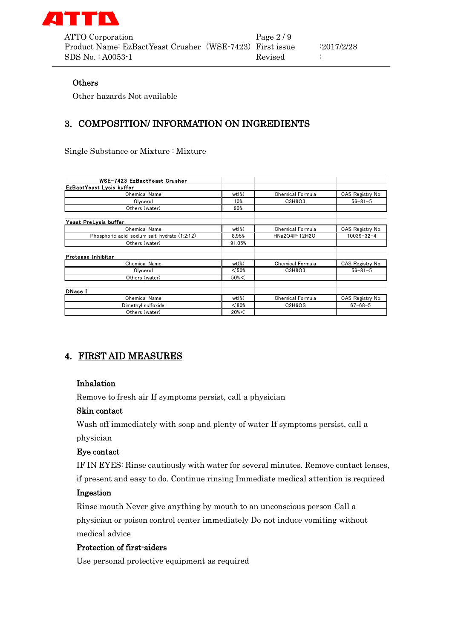

ATTO Corporation Page 2/9 Product Name: EzBactYeast Crusher (WSE-7423) First issue :2017/2/28  $SDS No. : A0053-1$  Revised :

### **Others**

Other hazards Not available

# 3. COMPOSITION/ INFORMATION ON INGREDIENTS

Single Substance or Mixture : Mixture

| WSE-7423 EzBactYeast Crusher                   |                     |                                              |                  |
|------------------------------------------------|---------------------|----------------------------------------------|------------------|
| EzBactYeast Lysis buffer                       |                     |                                              |                  |
| <b>Chemical Name</b>                           | $wt$ <sup>\</sup>   | <b>Chemical Formula</b>                      | CAS Registry No. |
| Glycerol                                       | 10%                 | C3H8O3                                       | $56 - 81 - 5$    |
| Others (water)                                 | 90%                 |                                              |                  |
| Yeast PreLysis buffer                          |                     |                                              |                  |
| <b>Chemical Name</b>                           | $wt$ <sup>(%)</sup> | <b>Chemical Formula</b>                      | CAS Registry No. |
| Phosphoric acid, sodium salt, hydrate (1:2:12) | 8.95%               | HNa2O4P·12H2O                                | $10039 - 32 - 4$ |
| Others (water)                                 | 91.05%              |                                              |                  |
| Protease Inhibitor                             |                     |                                              |                  |
| <b>Chemical Name</b>                           | $wt$ <sup>(%)</sup> | Chemical Formula                             | CAS Registry No. |
| Glycerol                                       | $<$ 50%             | C3H8O3                                       | $56 - 81 - 5$    |
| Others (water)                                 | $50\%<$             |                                              |                  |
| DNase I                                        |                     |                                              |                  |
| <b>Chemical Name</b>                           | $wt$ <sup>(%)</sup> | Chemical Formula                             | CAS Registry No. |
| Dimethyl sulfoxide                             | < 80%               | C <sub>2</sub> H <sub>6</sub> O <sub>S</sub> | $67 - 68 - 5$    |
| Others (water)                                 | $20\%<$             |                                              |                  |

# 4. FIRST AID MEASURES

### Inhalation

Remove to fresh air If symptoms persist, call a physician

### Skin contact

Wash off immediately with soap and plenty of water If symptoms persist, call a physician

### Eye contact

IF IN EYES: Rinse cautiously with water for several minutes. Remove contact lenses,

if present and easy to do. Continue rinsing Immediate medical attention is required

### Ingestion

Rinse mouth Never give anything by mouth to an unconscious person Call a physician or poison control center immediately Do not induce vomiting without medical advice

### Protection of first-aiders

Use personal protective equipment as required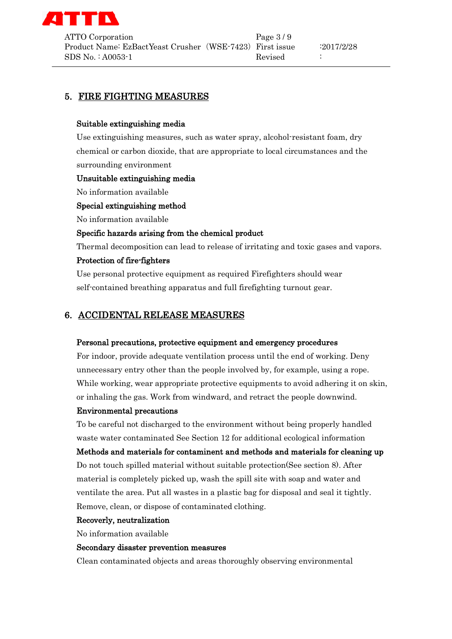

# 5. FIRE FIGHTING MEASURES

### Suitable extinguishing media

Use extinguishing measures, such as water spray, alcohol-resistant foam, dry chemical or carbon dioxide, that are appropriate to local circumstances and the surrounding environment

### Unsuitable extinguishing media

No information available

### Special extinguishing method

No information available

### Specific hazards arising from the chemical product

Thermal decomposition can lead to release of irritating and toxic gases and vapors.

### Protection of fire-fighters

Use personal protective equipment as required Firefighters should wear self-contained breathing apparatus and full firefighting turnout gear.

### 6. ACCIDENTAL RELEASE MEASURES

#### Personal precautions, protective equipment and emergency procedures

For indoor, provide adequate ventilation process until the end of working. Deny unnecessary entry other than the people involved by, for example, using a rope. While working, wear appropriate protective equipments to avoid adhering it on skin, or inhaling the gas. Work from windward, and retract the people downwind.

#### Environmental precautions

To be careful not discharged to the environment without being properly handled waste water contaminated See Section 12 for additional ecological information Methods and materials for contaminent and methods and materials for cleaning up Do not touch spilled material without suitable protection(See section 8). After material is completely picked up, wash the spill site with soap and water and ventilate the area. Put all wastes in a plastic bag for disposal and seal it tightly. Remove, clean, or dispose of contaminated clothing.

#### Recoverly, neutralization

No information available

#### Secondary disaster prevention measures

Clean contaminated objects and areas thoroughly observing environmental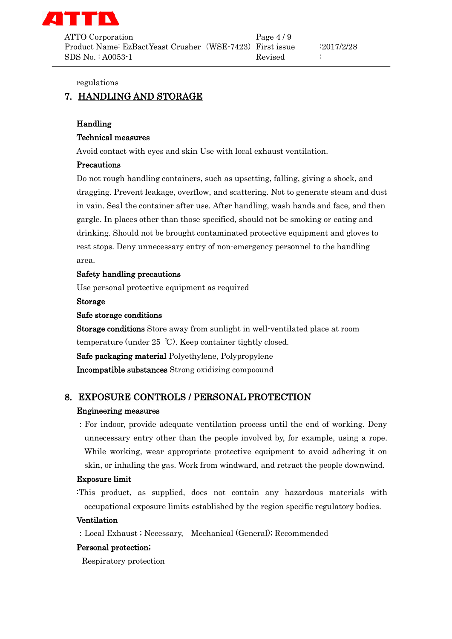

ATTO Corporation Page 4/9 Product Name: EzBactYeast Crusher (WSE-7423) First issue :2017/2/28  $SDS No. : A0053-1$  Revised :

regulations

# 7. HANDLING AND STORAGE

#### Handling

#### Technical measures

Avoid contact with eyes and skin Use with local exhaust ventilation.

#### Precautions

Do not rough handling containers, such as upsetting, falling, giving a shock, and dragging. Prevent leakage, overflow, and scattering. Not to generate steam and dust in vain. Seal the container after use. After handling, wash hands and face, and then gargle. In places other than those specified, should not be smoking or eating and drinking. Should not be brought contaminated protective equipment and gloves to rest stops. Deny unnecessary entry of non-emergency personnel to the handling area.

#### Safety handling precautions

Use personal protective equipment as required

#### Storage

#### Safe storage conditions

Storage conditions Store away from sunlight in well-ventilated place at room temperature (under 25 ℃). Keep container tightly closed.

Safe packaging material Polyethylene, Polypropylene

Incompatible substances Strong oxidizing compoound

### 8. EXPOSURE CONTROLS / PERSONAL PROTECTION

#### Engineering measures

:For indoor, provide adequate ventilation process until the end of working. Deny unnecessary entry other than the people involved by, for example, using a rope. While working, wear appropriate protective equipment to avoid adhering it on skin, or inhaling the gas. Work from windward, and retract the people downwind.

#### Exposure limit

:This product, as supplied, does not contain any hazardous materials with occupational exposure limits established by the region specific regulatory bodies.

#### Ventilation

:Local Exhaust ; Necessary, Mechanical (General); Recommended

#### Personal protection;

Respiratory protection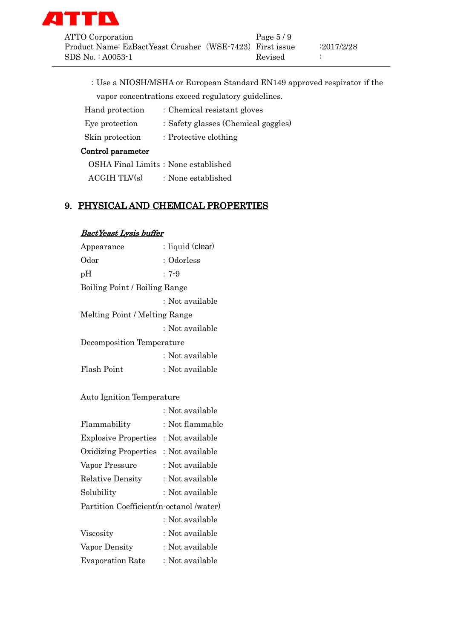

| ATTO Corporation                                         | Page $5/9$ |            |
|----------------------------------------------------------|------------|------------|
| Product Name: EzBactYeast Crusher (WSE-7423) First issue |            | :2017/2/28 |
| SDS No.∶A0053-1                                          | Revised    |            |

:Use a NIOSH/MSHA or European Standard EN149 approved respirator if the vapor concentrations exceed regulatory guidelines.

| Hand protection   | : Chemical resistant gloves         |
|-------------------|-------------------------------------|
| Eye protection    | : Safety glasses (Chemical goggles) |
| Skin protection   | $\therefore$ Protective clothing    |
| Control parameter |                                     |

| OSHA Final Limits: None established |                    |
|-------------------------------------|--------------------|
| $\text{ACGIH}$ TLV $\text{(s)}$     | : None established |

# 9. PHYSICAL AND CHEMICAL PROPERTIES

# BactYeast Lysis buffer

| Appearance                    | : liquid (clear) |  |
|-------------------------------|------------------|--|
| Odor                          | : Odorless       |  |
| pH                            | $: 7-9$          |  |
| Boiling Point / Boiling Range |                  |  |
|                               | : Not available  |  |
| Melting Point / Melting Range |                  |  |
|                               | : Not available  |  |
| Decomposition Temperature     |                  |  |
|                               | : Not available  |  |
| Flash Point                   | : Not available  |  |
|                               |                  |  |

### Auto Ignition Temperature

|                                          | : Not available |
|------------------------------------------|-----------------|
| Flammability                             | : Not flammable |
| <b>Explosive Properties</b>              | : Not available |
| <b>Oxidizing Properties</b>              | : Not available |
| Vapor Pressure                           | : Not available |
| <b>Relative Density</b>                  | : Not available |
| Solubility                               | : Not available |
| Partition Coefficient (n-octanol /water) |                 |
|                                          | : Not available |
| Viscosity                                | : Not available |
| Vapor Density                            | : Not available |
| <b>Evaporation Rate</b>                  | : Not available |
|                                          |                 |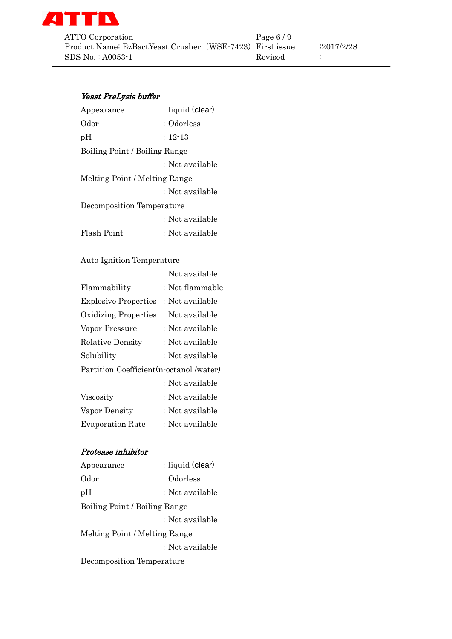

### Yeast PreLysis buffer

| Appearance                    | : liquid (clear) |  |
|-------------------------------|------------------|--|
| Odor                          | : Odorless       |  |
| pH                            | $: 12 - 13$      |  |
| Boiling Point / Boiling Range |                  |  |
|                               | : Not available  |  |
| Melting Point / Melting Range |                  |  |
|                               | : Not available  |  |
| Decomposition Temperature     |                  |  |
|                               | : Not available  |  |
| Flash Point                   | : Not available  |  |
|                               |                  |  |

### Auto Ignition Temperature

|                                          | : Not available |
|------------------------------------------|-----------------|
| Flammability                             | : Not flammable |
| <b>Explosive Properties</b>              | : Not available |
| <b>Oxidizing Properties</b>              | : Not available |
| Vapor Pressure                           | : Not available |
| <b>Relative Density</b>                  | : Not available |
| Solubility                               | : Not available |
| Partition Coefficient (n-octanol /water) |                 |
|                                          | : Not available |
| Viscosity                                | : Not available |
| Vapor Density                            | : Not available |
| <b>Evaporation Rate</b>                  | : Not available |

### Protease inhibitor

| Appearance                    | : liquid (clear) |  |
|-------------------------------|------------------|--|
| Odor                          | : Odorless       |  |
| pH                            | : Not available  |  |
| Boiling Point / Boiling Range |                  |  |
|                               | : Not available  |  |
| Melting Point / Melting Range |                  |  |
|                               | : Not available  |  |
| Decomposition Temperature     |                  |  |
|                               |                  |  |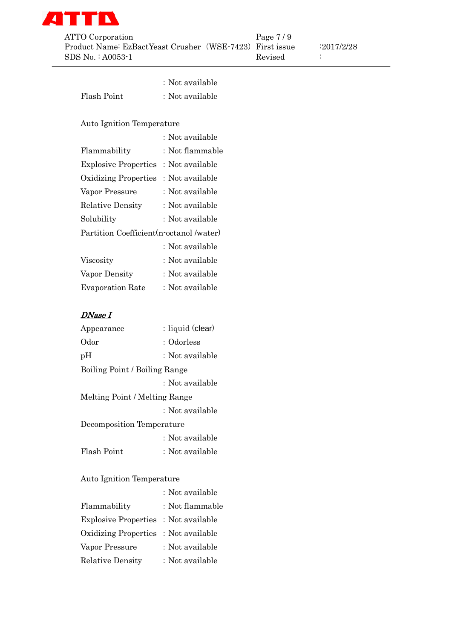

|             | : Not available |
|-------------|-----------------|
| Flash Point | : Not available |

### Auto Ignition Temperature

|                                          | : Not available |  |
|------------------------------------------|-----------------|--|
| Flammability                             | : Not flammable |  |
| <b>Explosive Properties</b>              | : Not available |  |
| <b>Oxidizing Properties</b>              | : Not available |  |
| Vapor Pressure                           | : Not available |  |
| <b>Relative Density</b>                  | : Not available |  |
| Solubility                               | : Not available |  |
| Partition Coefficient (n-octanol /water) |                 |  |
|                                          | : Not available |  |
| Viscosity                                | : Not available |  |
| Vapor Density                            | : Not available |  |
| <b>Evaporation Rate</b>                  | : Not available |  |

# DNase I

| Appearance                    | : liquid (clear) |
|-------------------------------|------------------|
| Odor                          | : Odorless       |
| pН                            | : Not available  |
| Boiling Point / Boiling Range |                  |
|                               | : Not available  |
| Melting Point / Melting Range |                  |
|                               | : Not available  |
| Decomposition Temperature     |                  |
|                               | : Not available  |
| Flash Point                   | : Not available  |
|                               |                  |

### Auto Ignition Temperature

|                             | : Not available |
|-----------------------------|-----------------|
| Flammability                | : Not flammable |
| <b>Explosive Properties</b> | : Not available |
| <b>Oxidizing Properties</b> | : Not available |
| Vapor Pressure              | : Not available |
| <b>Relative Density</b>     | : Not available |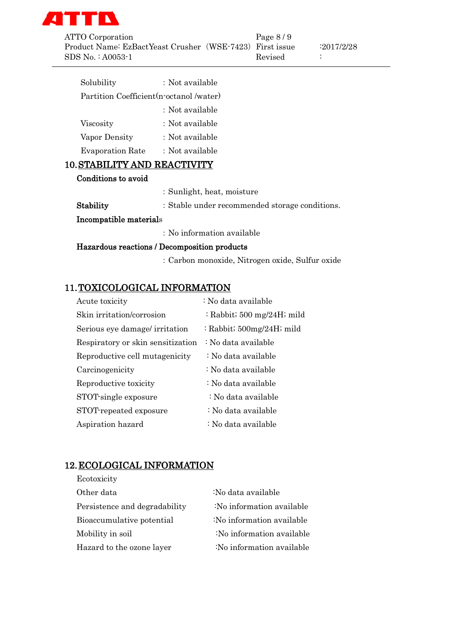

ATTO Corporation Page 8/9 Product Name: EzBactYeast Crusher (WSE-7423) First issue :2017/2/28 SDS No. : A0053-1 Revised :

| Solubility                               | : Not available |  |
|------------------------------------------|-----------------|--|
| Partition Coefficient (n-octanol /water) |                 |  |
|                                          | : Not available |  |
| Viscosity                                | : Not available |  |
| Vapor Density                            | : Not available |  |
| <b>Evaporation Rate</b>                  | : Not available |  |
| <b>10. STABILITY AND REACTIVITY</b>      |                 |  |

# Conditions to avoid

| : No information available |                                                |
|----------------------------|------------------------------------------------|
| Incompatible materials     |                                                |
| Stability                  | : Stable under recommended storage conditions. |
|                            | : Sunlight, heat, moisture                     |

### Hazardous reactions / Decomposition products

:Carbon monoxide, Nitrogen oxide, Sulfur oxide

# 11.TOXICOLOGICAL INFORMATION

| Acute toxicity                    | : No data available                   |
|-----------------------------------|---------------------------------------|
| Skin irritation/corrosion         | : Rabbit; $500 \text{ mg}/24H$ ; mild |
| Serious eye damage/ irritation    | : Rabbit; $500mg/24H$ ; mild          |
| Respiratory or skin sensitization | : No data available                   |
| Reproductive cell mutagenicity    | : No data available                   |
| Carcinogenicity                   | : No data available                   |
| Reproductive toxicity             | : No data available                   |
| STOT single exposure              | : No data available                   |
| STOT-repeated exposure            | : No data available                   |
| Aspiration hazard                 | : No data available                   |

# 12.ECOLOGICAL INFORMATION

| Ecotoxicity                   |                           |
|-------------------------------|---------------------------|
| Other data                    | :No data available        |
| Persistence and degradability | :No information available |
| Bioaccumulative potential     | :No information available |
| Mobility in soil              | :No information available |
| Hazard to the ozone layer     | :No information available |